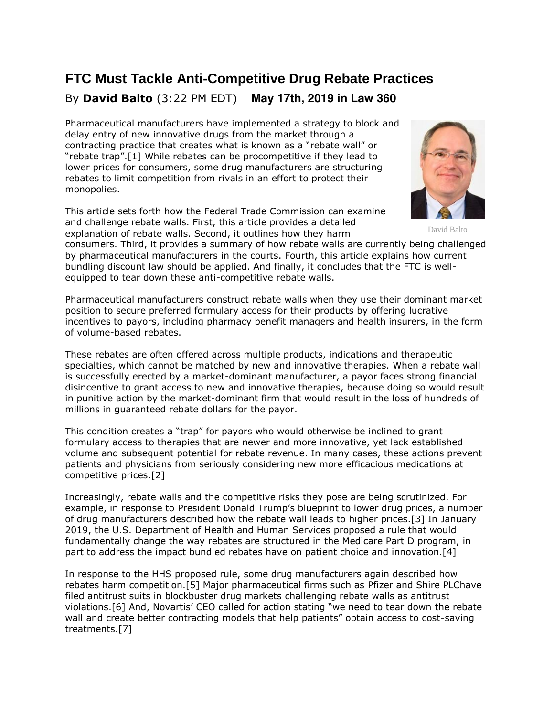# **FTC Must Tackle Anti-Competitive Drug Rebate Practices** By **David Balto** (3:22 PM EDT) **May 17th, 2019 in Law 360**

Pharmaceutical manufacturers have implemented a strategy to block and delay entry of new innovative drugs from the market through a contracting practice that creates what is known as a "rebate wall" or "rebate trap".[1] While rebates can be procompetitive if they lead to lower prices for consumers, some drug manufacturers are structuring rebates to limit competition from rivals in an effort to protect their monopolies.

This article sets forth how the [Federal Trade Commission](https://www.law360.com/agencies/federal-trade-commission) can examine and challenge rebate walls. First, this article provides a detailed explanation of rebate walls. Second, it outlines how they harm



David Balto

consumers. Third, it provides a summary of how rebate walls are currently being challenged by pharmaceutical manufacturers in the courts. Fourth, this article explains how current bundling discount law should be applied. And finally, it concludes that the FTC is wellequipped to tear down these anti-competitive rebate walls.

Pharmaceutical manufacturers construct rebate walls when they use their dominant market position to secure preferred formulary access for their products by offering lucrative incentives to payors, including pharmacy benefit managers and health insurers, in the form of volume-based rebates.

These rebates are often offered across multiple products, indications and therapeutic specialties, which cannot be matched by new and innovative therapies. When a rebate wall is successfully erected by a market-dominant manufacturer, a payor faces strong financial disincentive to grant access to new and innovative therapies, because doing so would result in punitive action by the market-dominant firm that would result in the loss of hundreds of millions in guaranteed rebate dollars for the payor.

This condition creates a "trap" for payors who would otherwise be inclined to grant formulary access to therapies that are newer and more innovative, yet lack established volume and subsequent potential for rebate revenue. In many cases, these actions prevent patients and physicians from seriously considering new more efficacious medications at competitive prices.[2]

Increasingly, rebate walls and the competitive risks they pose are being scrutinized. For example, in response to President Donald Trump's blueprint to lower drug prices, a number of drug manufacturers described how the rebate wall leads to higher prices.[3] In January 2019, the [U.S. Department of Health and Human Services](https://www.law360.com/agencies/u-s-department-of-health-and-human-services) proposed a rule that would fundamentally change the way rebates are structured in the Medicare Part D program, in part to address the impact bundled rebates have on patient choice and innovation.[4]

In response to the HHS proposed rule, some drug manufacturers again described how rebates harm competition.[5] Major pharmaceutical firms such as [Pfizer](https://www.law360.com/companies/pfizer-inc) and [Shire PLCh](https://www.law360.com/companies/shire-plc)ave filed antitrust suits in blockbuster drug markets challenging rebate walls as antitrust violations.[6] And, [Novartis](https://www.law360.com/companies/novartis-ag)' CEO called for action stating "we need to tear down the rebate wall and create better contracting models that help patients" obtain access to cost-saving treatments.[7]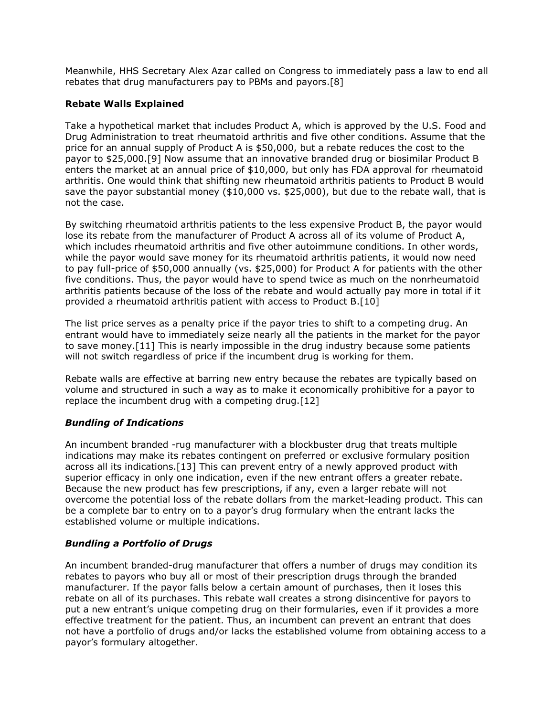Meanwhile, HHS Secretary Alex Azar called on Congress to immediately pass a law to end all rebates that drug manufacturers pay to PBMs and payors.[8]

## **Rebate Walls Explained**

Take a hypothetical market that includes Product A, which is approved by the [U.S. Food and](https://www.law360.com/agencies/food-and-drug-administration)  [Drug Administration](https://www.law360.com/agencies/food-and-drug-administration) to treat rheumatoid arthritis and five other conditions. Assume that the price for an annual supply of Product A is \$50,000, but a rebate reduces the cost to the payor to \$25,000.[9] Now assume that an innovative branded drug or biosimilar Product B enters the market at an annual price of \$10,000, but only has FDA approval for rheumatoid arthritis. One would think that shifting new rheumatoid arthritis patients to Product B would save the payor substantial money (\$10,000 vs. \$25,000), but due to the rebate wall, that is not the case.

By switching rheumatoid arthritis patients to the less expensive Product B, the payor would lose its rebate from the manufacturer of Product A across all of its volume of Product A, which includes rheumatoid arthritis and five other autoimmune conditions. In other words, while the payor would save money for its rheumatoid arthritis patients, it would now need to pay full-price of \$50,000 annually (vs. \$25,000) for Product A for patients with the other five conditions. Thus, the payor would have to spend twice as much on the nonrheumatoid arthritis patients because of the loss of the rebate and would actually pay more in total if it provided a rheumatoid arthritis patient with access to Product B.[10]

The list price serves as a penalty price if the payor tries to shift to a competing drug. An entrant would have to immediately seize nearly all the patients in the market for the payor to save money.[11] This is nearly impossible in the drug industry because some patients will not switch regardless of price if the incumbent drug is working for them.

Rebate walls are effective at barring new entry because the rebates are typically based on volume and structured in such a way as to make it economically prohibitive for a payor to replace the incumbent drug with a competing drug.[12]

## *Bundling of Indications*

An incumbent branded -rug manufacturer with a blockbuster drug that treats multiple indications may make its rebates contingent on preferred or exclusive formulary position across all its indications.[13] This can prevent entry of a newly approved product with superior efficacy in only one indication, even if the new entrant offers a greater rebate. Because the new product has few prescriptions, if any, even a larger rebate will not overcome the potential loss of the rebate dollars from the market-leading product. This can be a complete bar to entry on to a payor's drug formulary when the entrant lacks the established volume or multiple indications.

#### *Bundling a Portfolio of Drugs*

An incumbent branded-drug manufacturer that offers a number of drugs may condition its rebates to payors who buy all or most of their prescription drugs through the branded manufacturer. If the payor falls below a certain amount of purchases, then it loses this rebate on all of its purchases. This rebate wall creates a strong disincentive for payors to put a new entrant's unique competing drug on their formularies, even if it provides a more effective treatment for the patient. Thus, an incumbent can prevent an entrant that does not have a portfolio of drugs and/or lacks the established volume from obtaining access to a payor's formulary altogether.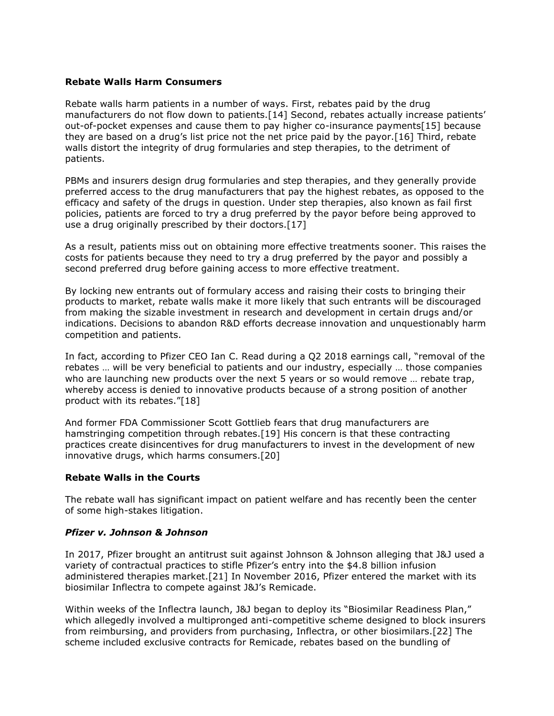#### **Rebate Walls Harm Consumers**

Rebate walls harm patients in a number of ways. First, rebates paid by the drug manufacturers do not flow down to patients.[14] Second, rebates actually increase patients' out-of-pocket expenses and cause them to pay higher co-insurance payments[15] because they are based on a drug's list price not the net price paid by the payor.[16] Third, rebate walls distort the integrity of drug formularies and step therapies, to the detriment of patients.

PBMs and insurers design drug formularies and step therapies, and they generally provide preferred access to the drug manufacturers that pay the highest rebates, as opposed to the efficacy and safety of the drugs in question. Under step therapies, also known as fail first policies, patients are forced to try a drug preferred by the payor before being approved to use a drug originally prescribed by their doctors.[17]

As a result, patients miss out on obtaining more effective treatments sooner. This raises the costs for patients because they need to try a drug preferred by the payor and possibly a second preferred drug before gaining access to more effective treatment.

By locking new entrants out of formulary access and raising their costs to bringing their products to market, rebate walls make it more likely that such entrants will be discouraged from making the sizable investment in research and development in certain drugs and/or indications. Decisions to abandon R&D efforts decrease innovation and unquestionably harm competition and patients.

In fact, according to Pfizer CEO Ian C. Read during a Q2 2018 earnings call, "removal of the rebates … will be very beneficial to patients and our industry, especially … those companies who are launching new products over the next 5 years or so would remove ... rebate trap, whereby access is denied to innovative products because of a strong position of another product with its rebates."[18]

And former FDA Commissioner Scott Gottlieb fears that drug manufacturers are hamstringing competition through rebates.[19] His concern is that these contracting practices create disincentives for drug manufacturers to invest in the development of new innovative drugs, which harms consumers.[20]

#### **Rebate Walls in the Courts**

The rebate wall has significant impact on patient welfare and has recently been the center of some high-stakes litigation.

#### *Pfizer v. [Johnson & Johnson](https://www.law360.com/companies/johnson-johnson)*

In 2017, Pfizer brought an antitrust suit against Johnson & Johnson alleging that J&J used a variety of contractual practices to stifle Pfizer's entry into the \$4.8 billion infusion administered therapies market.[21] In November 2016, Pfizer entered the market with its biosimilar Inflectra to compete against J&J's Remicade.

Within weeks of the Inflectra launch, J&J began to deploy its "Biosimilar Readiness Plan," which allegedly involved a multipronged anti-competitive scheme designed to block insurers from reimbursing, and providers from purchasing, Inflectra, or other biosimilars.[22] The scheme included exclusive contracts for Remicade, rebates based on the bundling of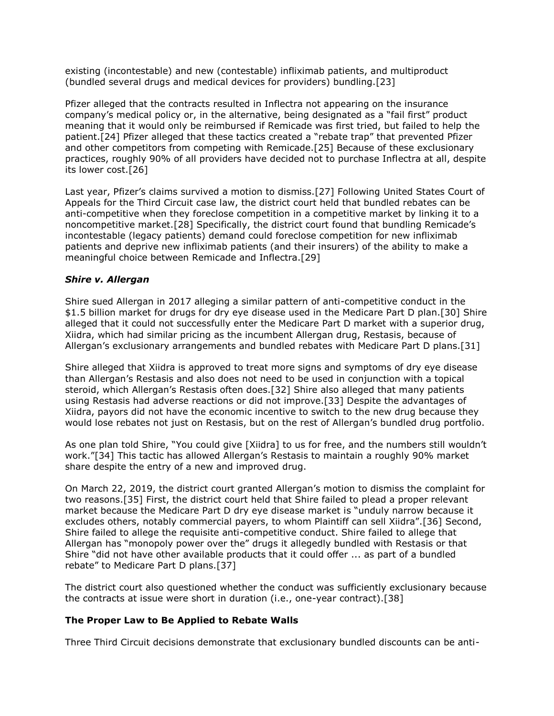existing (incontestable) and new (contestable) infliximab patients, and multiproduct (bundled several drugs and medical devices for providers) bundling.[23]

Pfizer alleged that the contracts resulted in Inflectra not appearing on the insurance company's medical policy or, in the alternative, being designated as a "fail first" product meaning that it would only be reimbursed if Remicade was first tried, but failed to help the patient.[24] Pfizer alleged that these tactics created a "rebate trap" that prevented Pfizer and other competitors from competing with Remicade.[25] Because of these exclusionary practices, roughly 90% of all providers have decided not to purchase Inflectra at all, despite its lower cost.[26]

Last year, Pfizer's claims survived a motion to dismiss.[27] Following [United States Court of](https://www.law360.com/agencies/united-states-court-of-appeals-for-the-third-circuit)  [Appeals for the Third Circuit](https://www.law360.com/agencies/united-states-court-of-appeals-for-the-third-circuit) case law, the district court held that bundled rebates can be anti-competitive when they foreclose competition in a competitive market by linking it to a noncompetitive market.[28] Specifically, the district court found that bundling Remicade's incontestable (legacy patients) demand could foreclose competition for new infliximab patients and deprive new infliximab patients (and their insurers) of the ability to make a meaningful choice between Remicade and Inflectra.[29]

#### *Shire v. [Allergan](https://www.law360.com/companies/allergan-plc)*

Shire sued Allergan in 2017 alleging a similar pattern of anti-competitive conduct in the \$1.5 billion market for drugs for dry eye disease used in the Medicare Part D plan.[30] Shire alleged that it could not successfully enter the Medicare Part D market with a superior drug, Xiidra, which had similar pricing as the incumbent Allergan drug, Restasis, because of Allergan's exclusionary arrangements and bundled rebates with Medicare Part D plans.[31]

Shire alleged that Xiidra is approved to treat more signs and symptoms of dry eye disease than Allergan's Restasis and also does not need to be used in conjunction with a topical steroid, which Allergan's Restasis often does.[32] Shire also alleged that many patients using Restasis had adverse reactions or did not improve.[33] Despite the advantages of Xiidra, payors did not have the economic incentive to switch to the new drug because they would lose rebates not just on Restasis, but on the rest of Allergan's bundled drug portfolio.

As one plan told Shire, "You could give [Xiidra] to us for free, and the numbers still wouldn't work."[34] This tactic has allowed Allergan's Restasis to maintain a roughly 90% market share despite the entry of a new and improved drug.

On March 22, 2019, the district court granted Allergan's motion to dismiss the complaint for two reasons.[35] First, the district court held that Shire failed to plead a proper relevant market because the Medicare Part D dry eye disease market is "unduly narrow because it excludes others, notably commercial payers, to whom Plaintiff can sell Xiidra".[36] Second, Shire failed to allege the requisite anti-competitive conduct. Shire failed to allege that Allergan has "monopoly power over the" drugs it allegedly bundled with Restasis or that Shire "did not have other available products that it could offer ... as part of a bundled rebate" to Medicare Part D plans.[37]

The district court also questioned whether the conduct was sufficiently exclusionary because the contracts at issue were short in duration (i.e., one-year contract).[38]

#### **The Proper Law to Be Applied to Rebate Walls**

Three Third Circuit decisions demonstrate that exclusionary bundled discounts can be anti-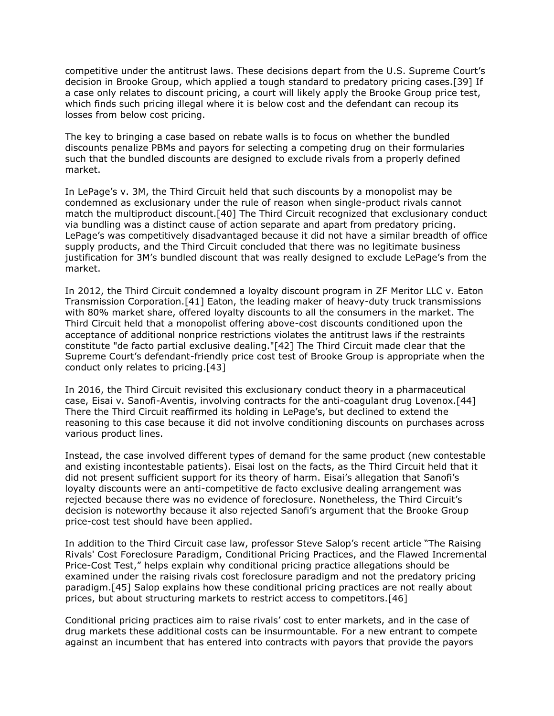competitive under the antitrust laws. These decisions depart from the [U.S. Supreme Court](https://www.law360.com/agencies/u-s-supreme-court)'s decision in Brooke Group, which applied a tough standard to predatory pricing cases.[39] If a case only relates to discount pricing, a court will likely apply the Brooke Group price test, which finds such pricing illegal where it is below cost and the defendant can recoup its losses from below cost pricing.

The key to bringing a case based on rebate walls is to focus on whether the bundled discounts penalize PBMs and payors for selecting a competing drug on their formularies such that the bundled discounts are designed to exclude rivals from a properly defined market.

In LePage's v. [3M,](https://www.law360.com/companies/3m-co) the Third Circuit held that such discounts by a monopolist may be condemned as exclusionary under the rule of reason when single-product rivals cannot match the multiproduct discount.[40] The Third Circuit recognized that exclusionary conduct via bundling was a distinct cause of action separate and apart from predatory pricing. LePage's was competitively disadvantaged because it did not have a similar breadth of office supply products, and the Third Circuit concluded that there was no legitimate business justification for 3M's bundled discount that was really designed to exclude LePage's from the market.

In 2012, the Third Circuit condemned a loyalty discount program in ZF [Meritor LLC](https://www.law360.com/companies/meritor-inc) v. Eaton Transmission Corporation.[41] Eaton, the leading maker of heavy-duty truck transmissions with 80% market share, offered loyalty discounts to all the consumers in the market. The Third Circuit held that a monopolist offering above-cost discounts conditioned upon the acceptance of additional nonprice restrictions violates the antitrust laws if the restraints constitute "de facto partial exclusive dealing."[42] The Third Circuit made clear that the Supreme Court's defendant-friendly price cost test of Brooke Group is appropriate when the conduct only relates to pricing.[43]

In 2016, the Third Circuit revisited this exclusionary conduct theory in a pharmaceutical case, [Eisai](https://www.law360.com/companies/eisai-co) v. [Sanofi-Aventis,](https://www.law360.com/companies/sanofi-aventis) involving contracts for the anti-coagulant drug Lovenox.[44] There the Third Circuit reaffirmed its holding in LePage's, but declined to extend the reasoning to this case because it did not involve conditioning discounts on purchases across various product lines.

Instead, the case involved different types of demand for the same product (new contestable and existing incontestable patients). Eisai lost on the facts, as the Third Circuit held that it did not present sufficient support for its theory of harm. Eisai's allegation that Sanofi's loyalty discounts were an anti-competitive de facto exclusive dealing arrangement was rejected because there was no evidence of foreclosure. Nonetheless, the Third Circuit's decision is noteworthy because it also rejected Sanofi's argument that the Brooke Group price-cost test should have been applied.

In addition to the Third Circuit case law, professor Steve Salop's recent article "The Raising Rivals' Cost Foreclosure Paradigm, Conditional Pricing Practices, and the Flawed Incremental Price-Cost Test," helps explain why conditional pricing practice allegations should be examined under the raising rivals cost foreclosure paradigm and not the predatory pricing paradigm.[45] Salop explains how these conditional pricing practices are not really about prices, but about structuring markets to restrict access to competitors.[46]

Conditional pricing practices aim to raise rivals' cost to enter markets, and in the case of drug markets these additional costs can be insurmountable. For a new entrant to compete against an incumbent that has entered into contracts with payors that provide the payors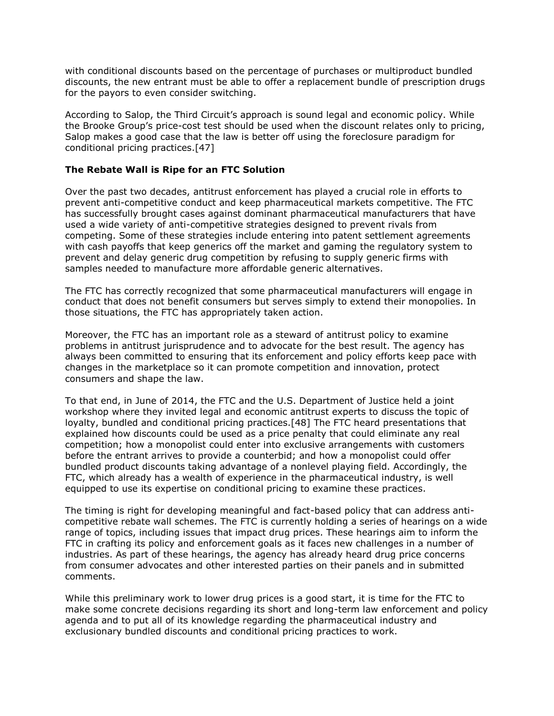with conditional discounts based on the percentage of purchases or multiproduct bundled discounts, the new entrant must be able to offer a replacement bundle of prescription drugs for the payors to even consider switching.

According to Salop, the Third Circuit's approach is sound legal and economic policy. While the Brooke Group's price-cost test should be used when the discount relates only to pricing, Salop makes a good case that the law is better off using the foreclosure paradigm for conditional pricing practices.[47]

### **The Rebate Wall is Ripe for an FTC Solution**

Over the past two decades, antitrust enforcement has played a crucial role in efforts to prevent anti-competitive conduct and keep pharmaceutical markets competitive. The FTC has successfully brought cases against dominant pharmaceutical manufacturers that have used a wide variety of anti-competitive strategies designed to prevent rivals from competing. Some of these strategies include entering into patent settlement agreements with cash payoffs that keep generics off the market and gaming the regulatory system to prevent and delay generic drug competition by refusing to supply generic firms with samples needed to manufacture more affordable generic alternatives.

The FTC has correctly recognized that some pharmaceutical manufacturers will engage in conduct that does not benefit consumers but serves simply to extend their monopolies. In those situations, the FTC has appropriately taken action.

Moreover, the FTC has an important role as a steward of antitrust policy to examine problems in antitrust jurisprudence and to advocate for the best result. The agency has always been committed to ensuring that its enforcement and policy efforts keep pace with changes in the marketplace so it can promote competition and innovation, protect consumers and shape the law.

To that end, in June of 2014, the FTC and the [U.S. Department of Justice](https://www.law360.com/agencies/u-s-department-of-justice) held a joint workshop where they invited legal and economic antitrust experts to discuss the topic of loyalty, bundled and conditional pricing practices.[48] The FTC heard presentations that explained how discounts could be used as a price penalty that could eliminate any real competition; how a monopolist could enter into exclusive arrangements with customers before the entrant arrives to provide a counterbid; and how a monopolist could offer bundled product discounts taking advantage of a nonlevel playing field. Accordingly, the FTC, which already has a wealth of experience in the pharmaceutical industry, is well equipped to use its expertise on conditional pricing to examine these practices.

The timing is right for developing meaningful and fact-based policy that can address anticompetitive rebate wall schemes. The FTC is currently holding a series of hearings on a wide range of topics, including issues that impact drug prices. These hearings aim to inform the FTC in crafting its policy and enforcement goals as it faces new challenges in a number of industries. As part of these hearings, the agency has already heard drug price concerns from consumer advocates and other interested parties on their panels and in submitted comments.

While this preliminary work to lower drug prices is a good start, it is time for the FTC to make some concrete decisions regarding its short and long-term law enforcement and policy agenda and to put all of its knowledge regarding the pharmaceutical industry and exclusionary bundled discounts and conditional pricing practices to work.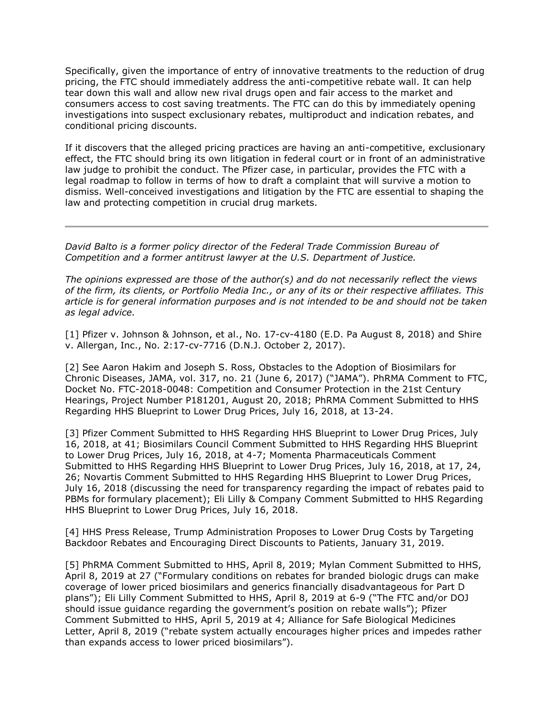Specifically, given the importance of entry of innovative treatments to the reduction of drug pricing, the FTC should immediately address the anti-competitive rebate wall. It can help tear down this wall and allow new rival drugs open and fair access to the market and consumers access to cost saving treatments. The FTC can do this by immediately opening investigations into suspect exclusionary rebates, multiproduct and indication rebates, and conditional pricing discounts.

If it discovers that the alleged pricing practices are having an anti-competitive, exclusionary effect, the FTC should bring its own litigation in federal court or in front of an administrative law judge to prohibit the conduct. The Pfizer case, in particular, provides the FTC with a legal roadmap to follow in terms of how to draft a complaint that will survive a motion to dismiss. Well-conceived investigations and litigation by the FTC are essential to shaping the law and protecting competition in crucial drug markets.

*[David Balto](http://www.dcantitrustlaw.com/index.php?id=2) is a former policy director of the Federal Trade Commission Bureau of Competition and a former antitrust lawyer at the U.S. Department of Justice.*

*The opinions expressed are those of the author(s) and do not necessarily reflect the views of the firm, its clients, or Portfolio Media Inc., or any of its or their respective affiliates. This article is for general information purposes and is not intended to be and should not be taken as legal advice.*

[1] Pfizer v. Johnson & Johnson, et al., No. 17-cv-4180 (E.D. Pa August 8, 2018) and Shire v. Allergan, Inc., No. 2:17-cv-7716 (D.N.J. October 2, 2017).

[2] See Aaron Hakim and Joseph S. Ross, Obstacles to the Adoption of Biosimilars for Chronic Diseases, JAMA, vol. 317, no. 21 (June 6, 2017) ("JAMA"). [PhRMA Comment](https://www.law360.com/companies/phrma) to FTC, Docket No. FTC-2018-0048: Competition and Consumer Protection in the 21st Century Hearings, Project Number P181201, August 20, 2018; PhRMA Comment Submitted to HHS Regarding HHS Blueprint to Lower Drug Prices, July 16, 2018, at 13-24.

[3] Pfizer Comment Submitted to HHS Regarding HHS Blueprint to Lower Drug Prices, July 16, 2018, at 41; Biosimilars Council Comment Submitted to HHS Regarding HHS Blueprint to Lower Drug Prices, July 16, 2018, at 4-7; [Momenta Pharmaceuticals Comment](https://www.law360.com/companies/momenta-pharmaceuticals-inc)  [Submitted](https://www.law360.com/companies/momenta-pharmaceuticals-inc) to HHS Regarding HHS Blueprint to Lower Drug Prices, July 16, 2018, at 17, 24, 26; Novartis Comment Submitted to HHS Regarding HHS Blueprint to Lower Drug Prices, July 16, 2018 (discussing the need for transparency regarding the impact of rebates paid to PBMs for formulary placement); [Eli Lilly & Company Comment Submitted](https://www.law360.com/companies/eli-lilly-and-co) to HHS Regarding HHS Blueprint to Lower Drug Prices, July 16, 2018.

[4] HHS Press Release, Trump Administration Proposes to Lower Drug Costs by Targeting Backdoor Rebates and Encouraging Direct Discounts to Patients, January 31, 2019.

[5] PhRMA Comment Submitted to HHS, April 8, 2019; [Mylan Comment Submitted](https://www.law360.com/companies/mylan-nv) to HHS, April 8, 2019 at 27 ("Formulary conditions on rebates for branded biologic drugs can make coverage of lower priced biosimilars and generics financially disadvantageous for Part D plans"); Eli Lilly Comment Submitted to HHS, April 8, 2019 at 6-9 ("The FTC and/or DOJ should issue guidance regarding the government's position on rebate walls"); Pfizer Comment Submitted to HHS, April 5, 2019 at 4; Alliance for Safe Biological Medicines Letter, April 8, 2019 ("rebate system actually encourages higher prices and impedes rather than expands access to lower priced biosimilars").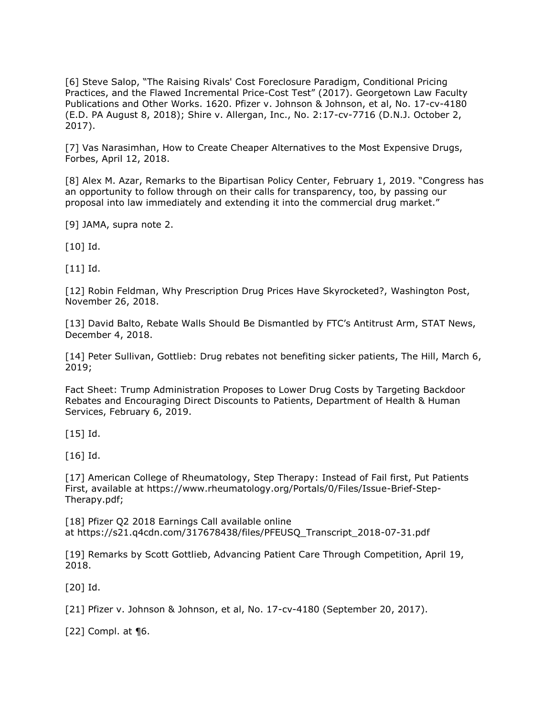[6] Steve Salop, "The Raising Rivals' Cost Foreclosure Paradigm, Conditional Pricing Practices, and the Flawed Incremental Price-Cost Test" (2017). Georgetown Law Faculty Publications and Other Works. 1620. Pfizer v. Johnson & Johnson, et al, No. 17-cv-4180 (E.D. PA August 8, 2018); Shire v. Allergan, Inc., No. 2:17-cv-7716 (D.N.J. October 2, 2017).

[7] Vas Narasimhan, How to Create Cheaper Alternatives to the Most Expensive Drugs, Forbes, April 12, 2018.

[8] Alex M. Azar, Remarks to the [Bipartisan Policy Center](https://www.law360.com/companies/bipartisan-policy-center), February 1, 2019. "Congress has an opportunity to follow through on their calls for transparency, too, by passing our proposal into law immediately and extending it into the commercial drug market."

[9] JAMA, supra note 2.

[10] Id.

[11] Id.

[12] Robin Feldman, Why Prescription Drug Prices Have Skyrocketed?, [Washington Post,](https://www.law360.com/companies/washington-post-co) November 26, 2018.

[13] David Balto, Rebate Walls Should Be Dismantled by FTC's Antitrust Arm, STAT News, December 4, 2018.

[14] Peter Sullivan, Gottlieb: Drug rebates not benefiting sicker patients, The Hill, March 6, 2019;

Fact Sheet: Trump Administration Proposes to Lower Drug Costs by Targeting Backdoor Rebates and Encouraging Direct Discounts to Patients, Department of Health & Human Services, February 6, 2019.

[15] Id.

[16] Id.

[17] American College of Rheumatology, Step Therapy: Instead of Fail first, Put Patients First, available at [https://www.rheumatology.org/Portals/0/Files/Issue-Brief-Step-](https://www.rheumatology.org/Portals/0/Files/Issue-Brief-Step-Therapy.pdf)[Therapy.pdf;](https://www.rheumatology.org/Portals/0/Files/Issue-Brief-Step-Therapy.pdf)

[18] Pfizer Q2 2018 Earnings Call available online at [https://s21.q4cdn.com/317678438/files/PFEUSQ\\_Transcript\\_2018-07-31.pdf](https://s21.q4cdn.com/317678438/files/PFEUSQ_Transcript_2018-07-31.pdf)

[19] Remarks by Scott Gottlieb, Advancing Patient Care Through Competition, April 19, 2018.

[20] Id.

[21] Pfizer v. Johnson & Johnson, et al, No. 17-cv-4180 (September 20, 2017).

[22] Compl. at ¶6.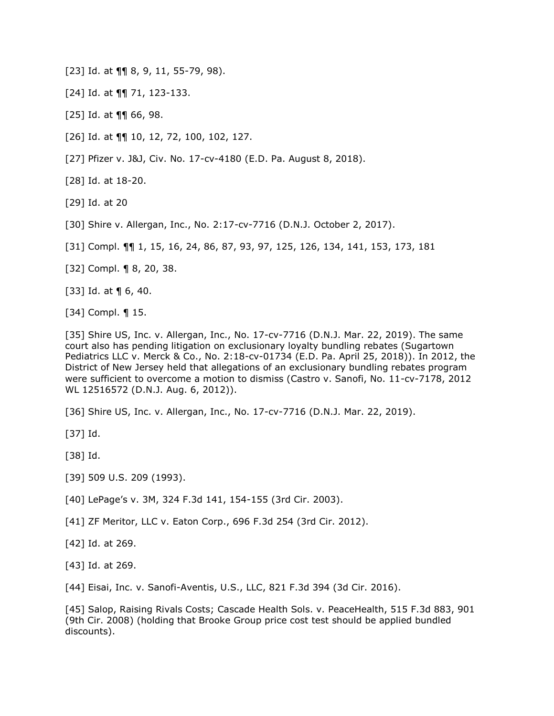[23] Id. at  $\P\P$  8, 9, 11, 55-79, 98).

[24] Id. at ¶¶ 71, 123-133.

[25] Id. at ¶¶ 66, 98.

[26] Id. at ¶¶ 10, 12, 72, 100, 102, 127.

[27] Pfizer v. J&J, Civ. No. 17-cv-4180 (E.D. Pa. August 8, 2018).

[28] Id. at 18-20.

[29] Id. at 20

[30] Shire v. Allergan, Inc., No. 2:17-cv-7716 (D.N.J. October 2, 2017).

[31] Compl. ¶¶ 1, 15, 16, 24, 86, 87, 93, 97, 125, 126, 134, 141, 153, 173, 181

[32] Compl. ¶ 8, 20, 38.

[33] Id. at  $\P$  6, 40.

[34] Compl. ¶ 15.

[35] Shire US, Inc. v. Allergan, Inc., No. 17-cv-7716 (D.N.J. Mar. 22, 2019). The same court also has pending litigation on exclusionary loyalty bundling rebates (Sugartown Pediatrics LLC v. [Merck & Co.](https://www.law360.com/companies/merck-co-inc), No. 2:18-cv-01734 (E.D. Pa. April 25, 2018)). In 2012, the District of New Jersey held that allegations of an exclusionary bundling rebates program were sufficient to overcome a motion to dismiss (Castro v. Sanofi, No. 11-cv-7178, 2012 WL 12516572 (D.N.J. Aug. 6, 2012)).

[36] Shire US, Inc. v. Allergan, Inc., No. 17-cv-7716 (D.N.J. Mar. 22, 2019).

[37] Id.

[38] Id.

[39] 509 U.S. 209 (1993).

[40] LePage's v. 3M, 324 F.3d 141, 154-155 (3rd Cir. 2003).

[41] ZF Meritor, LLC v. [Eaton Corp.](https://www.law360.com/companies/eaton-corp), 696 F.3d 254 (3rd Cir. 2012).

[42] Id. at 269.

[43] Id. at 269.

[44] Eisai, Inc. v. Sanofi-Aventis, U.S., LLC, 821 F.3d 394 (3d Cir. 2016).

[45] Salop, Raising Rivals Costs; Cascade Health Sols. v. [PeaceHealth,](https://www.law360.com/companies/peacehealth-southwest-medical-center) 515 F.3d 883, 901 (9th Cir. 2008) (holding that Brooke Group price cost test should be applied bundled discounts).